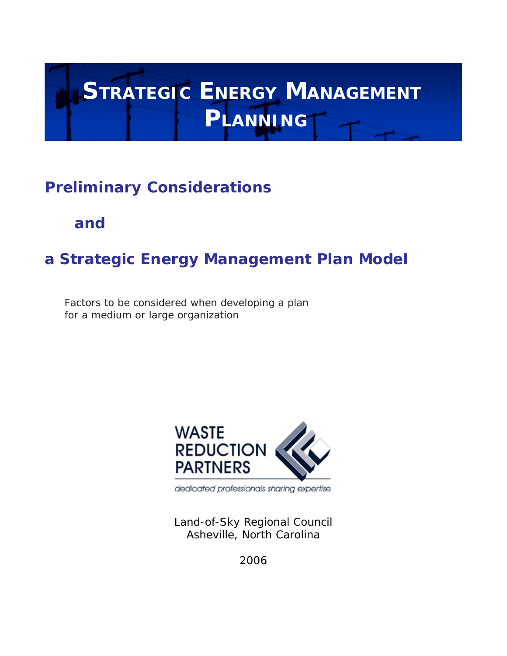# **STRATEGIC ENERGY MANAGEMENT PLANNING**

# **Preliminary Considerations**

**and**

# **a Strategic Energy Management Plan Model**

*Factors to be considered when developing a plan for a medium or large organization*



dedicated professionals sharing expertise

Land-of-Sky Regional Council Asheville, North Carolina

2006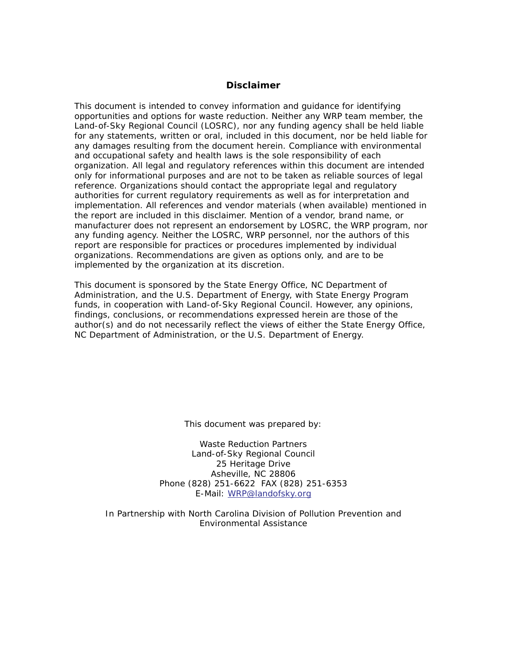# **Disclaimer**

This document is intended to convey information and guidance for identifying opportunities and options for waste reduction. Neither any WRP team member, the Land-of-Sky Regional Council (LOSRC), nor any funding agency shall be held liable for any statements, written or oral, included in this document, nor be held liable for any damages resulting from the document herein. Compliance with environmental and occupational safety and health laws is the sole responsibility of each organization. All legal and regulatory references within this document are intended only for informational purposes and are not to be taken as reliable sources of legal reference. Organizations should contact the appropriate legal and regulatory authorities for current regulatory requirements as well as for interpretation and implementation. All references and vendor materials (when available) mentioned in the report are included in this disclaimer. Mention of a vendor, brand name, or manufacturer does not represent an endorsement by LOSRC, the WRP program, nor any funding agency. Neither the LOSRC, WRP personnel, nor the authors of this report are responsible for practices or procedures implemented by individual organizations. Recommendations are given as options only, and are to be implemented by the organization at its discretion.

This document is sponsored by the State Energy Office, NC Department of Administration, and the U.S. Department of Energy, with State Energy Program funds, in cooperation with Land-of-Sky Regional Council. However, any opinions, findings, conclusions, or recommendations expressed herein are those of the author(s) and do not necessarily reflect the views of either the State Energy Office, NC Department of Administration, or the U.S. Department of Energy.

This document was prepared by:

Waste Reduction Partners Land-of-Sky Regional Council 25 Heritage Drive Asheville, NC 28806 Phone (828) 251-6622 FAX (828) 251-6353 E-Mail: WRP@landofsky.org

In Partnership with North Carolina Division of Pollution Prevention and Environmental Assistance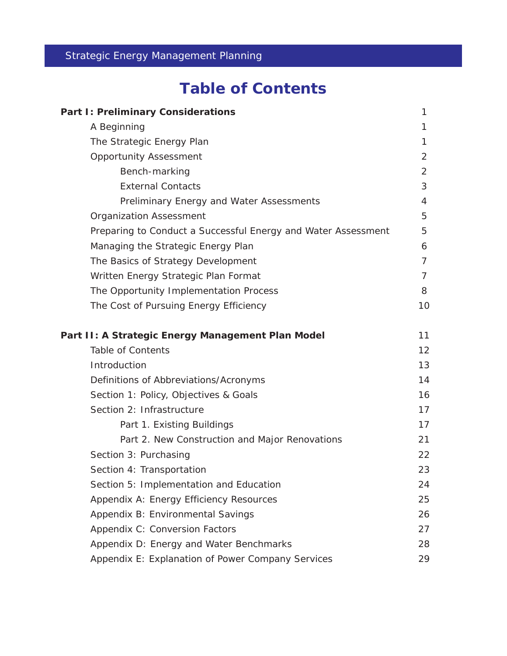# Strategic Energy Management Planning

# **Table of Contents**

| <b>Part I: Preliminary Considerations</b>                     | 1              |
|---------------------------------------------------------------|----------------|
| A Beginning                                                   | 1              |
| The Strategic Energy Plan                                     | 1              |
| <b>Opportunity Assessment</b>                                 | 2              |
| Bench-marking                                                 | 2              |
| <b>External Contacts</b>                                      | 3              |
| Preliminary Energy and Water Assessments                      | 4              |
| <b>Organization Assessment</b>                                | 5              |
| Preparing to Conduct a Successful Energy and Water Assessment | 5              |
| Managing the Strategic Energy Plan                            | 6              |
| The Basics of Strategy Development                            | $\overline{7}$ |
| Written Energy Strategic Plan Format                          | $\overline{7}$ |
| The Opportunity Implementation Process                        | 8              |
| The Cost of Pursuing Energy Efficiency                        | 10             |
| Part II: A Strategic Energy Management Plan Model             | 11             |
| <b>Table of Contents</b>                                      | 12             |
| Introduction                                                  | 13             |
| Definitions of Abbreviations/Acronyms                         | 14             |
| Section 1: Policy, Objectives & Goals                         | 16             |
| Section 2: Infrastructure                                     | 17             |
| Part 1. Existing Buildings                                    | 17             |
| Part 2. New Construction and Major Renovations                | 21             |
| Section 3: Purchasing                                         | 22             |
| Section 4: Transportation                                     | 23             |
| Section 5: Implementation and Education                       | 24             |
| Appendix A: Energy Efficiency Resources                       | 25             |
| Appendix B: Environmental Savings                             | 26             |
| Appendix C: Conversion Factors                                | 27             |
| Appendix D: Energy and Water Benchmarks                       | 28             |
| Appendix E: Explanation of Power Company Services             | 29             |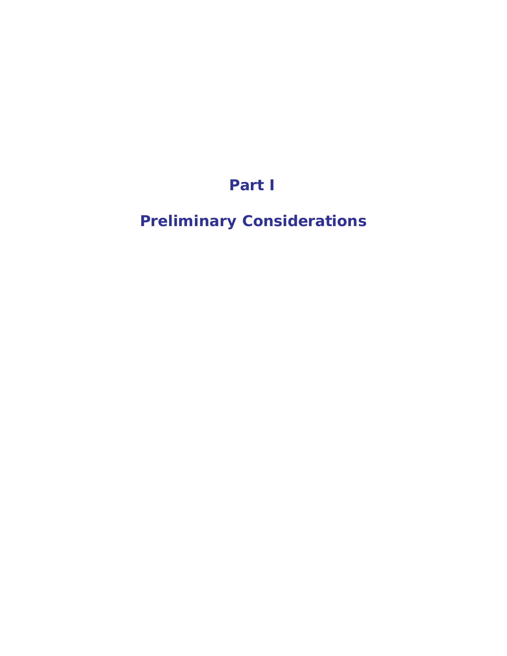# **Part I**

# **Preliminary Considerations**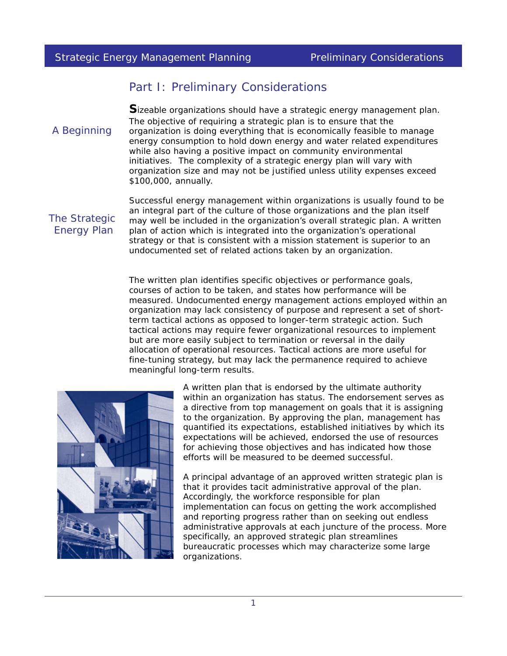# Part I: Preliminary Considerations

**S**izeable organizations should have a strategic energy management plan. The objective of requiring a strategic plan is to ensure that the organization is doing everything that is economically feasible to manage energy consumption to hold down energy and water related expenditures while also having a positive impact on community environmental initiatives. The complexity of a strategic energy plan will vary with organization size and may not be justified unless utility expenses exceed \$100,000, annually.

The Strategic Energy Plan

A Beginning

Successful energy management within organizations is usually found to be an integral part of the culture of those organizations and the plan itself may well be included in the organization's overall strategic plan. A written plan of action which is integrated into the organization's operational strategy or that is consistent with a mission statement is superior to an undocumented set of related actions taken by an organization.

The written plan identifies specific objectives or performance goals, courses of action to be taken, and states how performance will be measured. Undocumented energy management actions employed within an organization may lack consistency of purpose and represent a set of shortterm tactical actions as opposed to longer-term strategic action. Such tactical actions may require fewer organizational resources to implement but are more easily subject to termination or reversal in the daily allocation of operational resources. Tactical actions are more useful for fine-tuning strategy, but may lack the permanence required to achieve meaningful long-term results.



A written plan that is endorsed by the ultimate authority within an organization has status. The endorsement serves as a directive from top management on goals that it is assigning to the organization. By approving the plan, management has quantified its expectations, established initiatives by which its expectations will be achieved, endorsed the use of resources for achieving those objectives and has indicated how those efforts will be measured to be deemed successful.

A principal advantage of an approved written strategic plan is that it provides tacit administrative approval of the plan. Accordingly, the workforce responsible for plan implementation can focus on getting the work accomplished and reporting progress rather than on seeking out endless administrative approvals at each juncture of the process. More specifically, an approved strategic plan streamlines bureaucratic processes which may characterize some large organizations.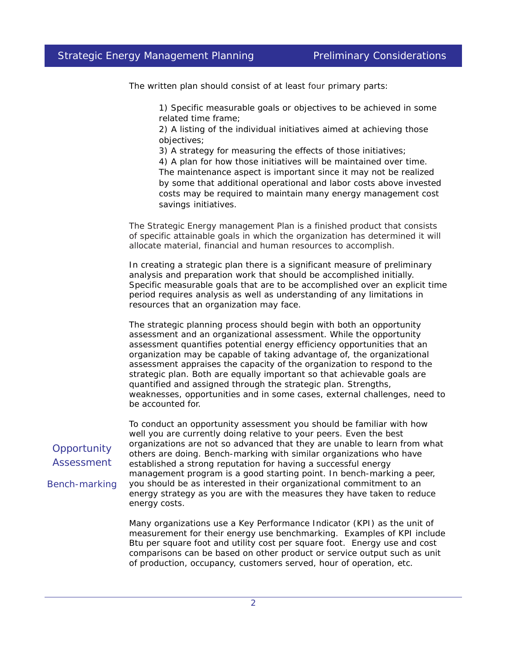The written plan should consist of at least four primary parts:

1) Specific measurable goals or objectives to be achieved in some related time frame;

2) A listing of the individual initiatives aimed at achieving those objectives;

3) A strategy for measuring the effects of those initiatives;

4) A plan for how those initiatives will be maintained over time. The maintenance aspect is important since it may not be realized by some that additional operational and labor costs above invested costs may be required to maintain many energy management cost savings initiatives.

The Strategic Energy management Plan is a finished product that consists of specific attainable goals in which the organization has determined it will allocate material, financial and human resources to accomplish.

In creating a strategic plan there is a significant measure of preliminary analysis and preparation work that should be accomplished initially. Specific measurable goals that are to be accomplished over an explicit time period requires analysis as well as understanding of any limitations in resources that an organization may face.

The strategic planning process should begin with both an opportunity assessment and an organizational assessment. While the opportunity assessment quantifies potential energy efficiency opportunities that an organization may be capable of taking advantage of, the organizational assessment appraises the capacity of the organization to respond to the strategic plan. Both are equally important so that achievable goals are quantified and assigned through the strategic plan. Strengths, weaknesses, opportunities and in some cases, external challenges, need to be accounted for.

To conduct an opportunity assessment you should be familiar with how well you are currently doing relative to your peers. Even the best organizations are not so advanced that they are unable to learn from what others are doing. Bench-marking with similar organizations who have established a strong reputation for having a successful energy management program is a good starting point. In bench-marking a peer, you should be as interested in their organizational commitment to an energy strategy as you are with the measures they have taken to reduce energy costs.

Many organizations use a Key Performance Indicator (KPI) as the unit of measurement for their energy use benchmarking. Examples of KPI include Btu per square foot and utility cost per square foot. Energy use and cost comparisons can be based on other product or service output such as unit of production, occupancy, customers served, hour of operation, etc.

# **Opportunity** Assessment

*Bench-marking*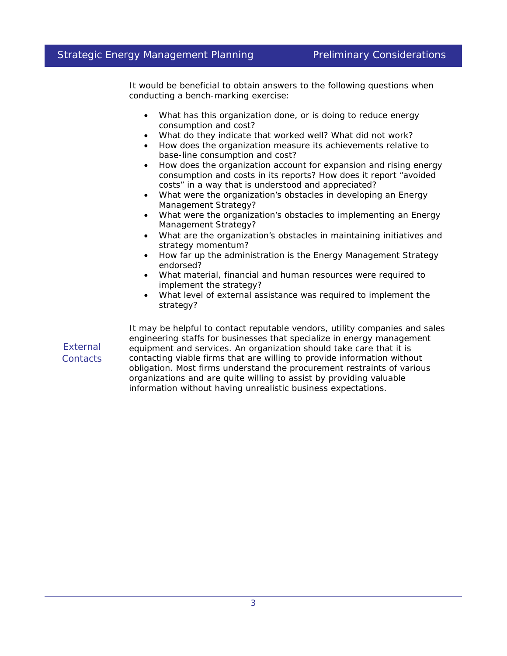It would be beneficial to obtain answers to the following questions when conducting a bench-marking exercise:

- What has this organization done, or is doing to reduce energy consumption and cost?
- What do they indicate that worked well? What did not work?
- How does the organization measure its achievements relative to base-line consumption and cost?
- How does the organization account for expansion and rising energy consumption and costs in its reports? How does it report "avoided costs" in a way that is understood and appreciated?
- What were the organization's obstacles in developing an Energy Management Strategy?
- What were the organization's obstacles to implementing an Energy Management Strategy?
- What are the organization's obstacles in maintaining initiatives and strategy momentum?
- How far up the administration is the Energy Management Strategy endorsed?
- What material, financial and human resources were required to implement the strategy?
- What level of external assistance was required to implement the strategy?

*External Contacts*

It may be helpful to contact reputable vendors, utility companies and sales engineering staffs for businesses that specialize in energy management equipment and services. An organization should take care that it is contacting viable firms that are willing to provide information without obligation. Most firms understand the procurement restraints of various organizations and are quite willing to assist by providing valuable information without having unrealistic business expectations.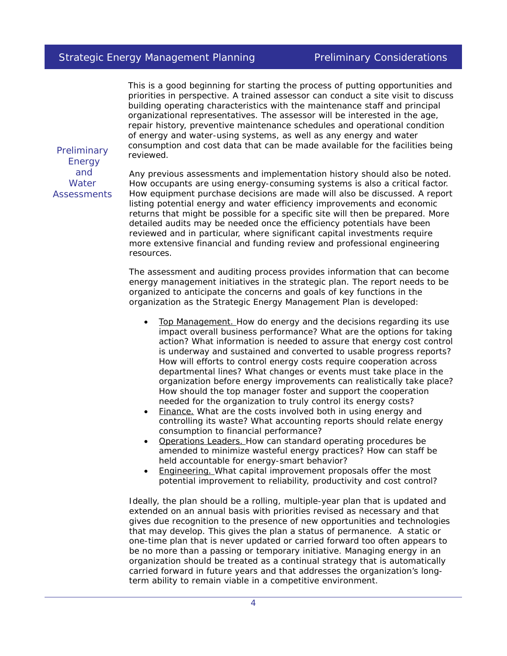This is a good beginning for starting the process of putting opportunities and priorities in perspective. A trained assessor can conduct a site visit to discuss building operating characteristics with the maintenance staff and principal organizational representatives. The assessor will be interested in the age, repair history, preventive maintenance schedules and operational condition of energy and water-using systems, as well as any energy and water consumption and cost data that can be made available for the facilities being reviewed.

*Preliminary Energy and Water Assessments*

Any previous assessments and implementation history should also be noted. How occupants are using energy-consuming systems is also a critical factor. How equipment purchase decisions are made will also be discussed. A report listing potential energy and water efficiency improvements and economic returns that might be possible for a specific site will then be prepared. More detailed audits may be needed once the efficiency potentials have been reviewed and in particular, where significant capital investments require more extensive financial and funding review and professional engineering resources.

The assessment and auditing process provides information that can become energy management initiatives in the strategic plan. The report needs to be organized to anticipate the concerns and goals of key functions in the organization as the Strategic Energy Management Plan is developed:

- Top Management. How do energy and the decisions regarding its use impact overall business performance? What are the options for taking action? What information is needed to assure that energy cost control is underway and sustained and converted to usable progress reports? How will efforts to control energy costs require cooperation across departmental lines? What changes or events must take place in the organization before energy improvements can realistically take place? How should the top manager foster and support the cooperation needed for the organization to truly control its energy costs?
- Finance. What are the costs involved both in using energy and controlling its waste? What accounting reports should relate energy consumption to financial performance?
- Operations Leaders. How can standard operating procedures be amended to minimize wasteful energy practices? How can staff be held accountable for energy-smart behavior?
- Engineering. What capital improvement proposals offer the most potential improvement to reliability, productivity and cost control?

Ideally, the plan should be a rolling, multiple-year plan that is updated and extended on an annual basis with priorities revised as necessary and that gives due recognition to the presence of new opportunities and technologies that may develop. This gives the plan a status of permanence. A static or one-time plan that is never updated or carried forward too often appears to be no more than a passing or temporary initiative. Managing energy in an organization should be treated as a continual strategy that is automatically carried forward in future years and that addresses the organization's longterm ability to remain viable in a competitive environment.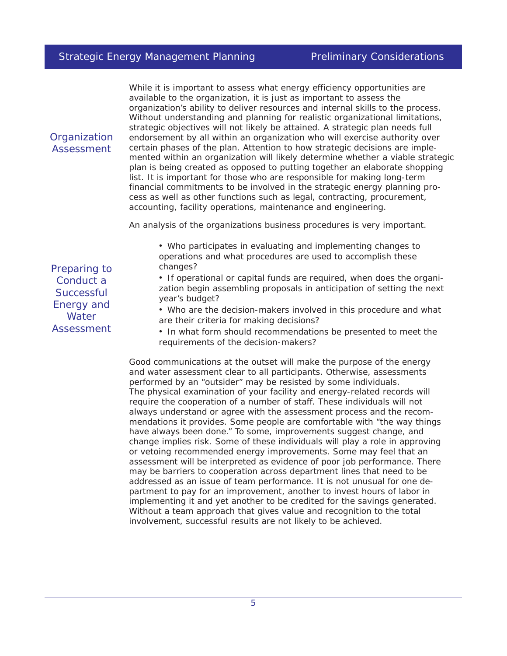While it is important to assess what energy efficiency opportunities are available to the organization, it is just as important to assess the organization's ability to deliver resources and internal skills to the process. Without understanding and planning for realistic organizational limitations, strategic objectives will not likely be attained. A strategic plan needs full endorsement by all within an organization who will exercise authority over certain phases of the plan. Attention to how strategic decisions are implemented within an organization will likely determine whether a viable strategic plan is being created as opposed to putting together an elaborate shopping list. It is important for those who are responsible for making long-term financial commitments to be involved in the strategic energy planning process as well as other functions such as legal, contracting, procurement, accounting, facility operations, maintenance and engineering.

An analysis of the organizations business procedures is very important.

• Who participates in evaluating and implementing changes to operations and what procedures are used to accomplish these changes?

• If operational or capital funds are required, when does the organization begin assembling proposals in anticipation of setting the next year's budget?

• Who are the decision-makers involved in this procedure and what are their criteria for making decisions?

• In what form should recommendations be presented to meet the requirements of the decision-makers?

Good communications at the outset will make the purpose of the energy and water assessment clear to all participants. Otherwise, assessments performed by an "outsider" may be resisted by some individuals. The physical examination of your facility and energy-related records will require the cooperation of a number of staff. These individuals will not always understand or agree with the assessment process and the recommendations it provides. Some people are comfortable with "the way things have always been done." To some, improvements suggest change, and change implies risk. Some of these individuals will play a role in approving or vetoing recommended energy improvements. Some may feel that an assessment will be interpreted as evidence of poor job performance. There may be barriers to cooperation across department lines that need to be addressed as an issue of team performance. It is not unusual for one department to pay for an improvement, another to invest hours of labor in implementing it and yet another to be credited for the savings generated. Without a team approach that gives value and recognition to the total involvement, successful results are not likely to be achieved.

Preparing to Conduct a **Successful** Energy and **Water** Assessment

**Organization** Assessment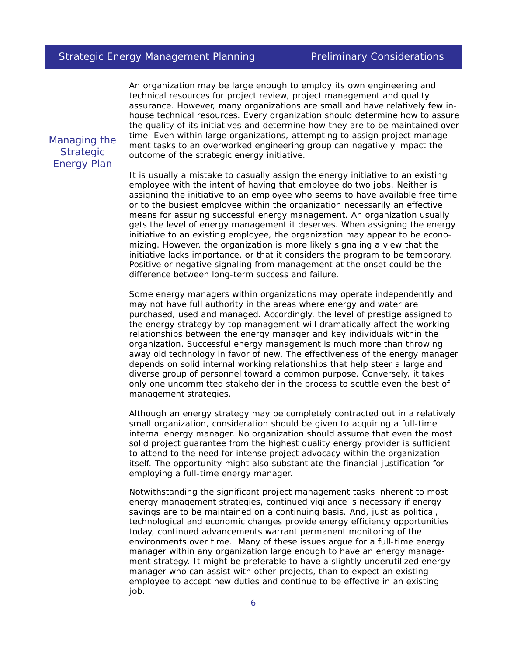An organization may be large enough to employ its own engineering and technical resources for project review, project management and quality assurance. However, many organizations are small and have relatively few inhouse technical resources. Every organization should determine how to assure the quality of its initiatives and determine how they are to be maintained over time. Even within large organizations, attempting to assign project management tasks to an overworked engineering group can negatively impact the outcome of the strategic energy initiative.

Managing the **Strategic** Energy Plan

It is usually a mistake to casually assign the energy initiative to an existing employee with the intent of having that employee do two jobs. Neither is assigning the initiative to an employee who seems to have available free time or to the busiest employee within the organization necessarily an effective means for assuring successful energy management. An organization usually gets the level of energy management it deserves. When assigning the energy initiative to an existing employee, the organization may appear to be economizing. However, the organization is more likely signaling a view that the initiative lacks importance, or that it considers the program to be temporary. Positive or negative signaling from management at the onset could be the difference between long-term success and failure.

Some energy managers within organizations may operate independently and may not have full authority in the areas where energy and water are purchased, used and managed. Accordingly, the level of prestige assigned to the energy strategy by top management will dramatically affect the working relationships between the energy manager and key individuals within the organization. Successful energy management is much more than throwing away old technology in favor of new. The effectiveness of the energy manager depends on solid internal working relationships that help steer a large and diverse group of personnel toward a common purpose. Conversely, it takes only one uncommitted stakeholder in the process to scuttle even the best of management strategies.

Although an energy strategy may be completely contracted out in a relatively small organization, consideration should be given to acquiring a full-time internal energy manager. No organization should assume that even the most solid project guarantee from the highest quality energy provider is sufficient to attend to the need for intense project advocacy within the organization itself. The opportunity might also substantiate the financial justification for employing a full-time energy manager.

Notwithstanding the significant project management tasks inherent to most energy management strategies, continued vigilance is necessary if energy savings are to be maintained on a continuing basis. And, just as political, technological and economic changes provide energy efficiency opportunities today, continued advancements warrant permanent monitoring of the environments over time. Many of these issues argue for a full-time energy manager within any organization large enough to have an energy management strategy. It might be preferable to have a slightly underutilized energy manager who can assist with other projects, than to expect an existing employee to accept new duties and continue to be effective in an existing job.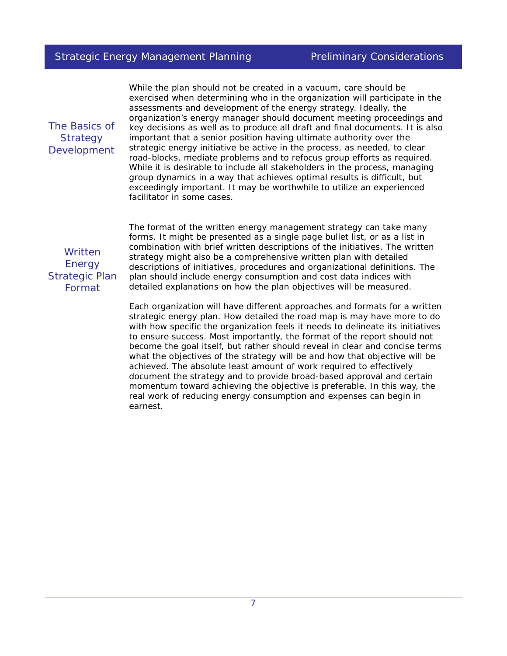The Basics of **Strategy** Development

While the plan should not be created in a vacuum, care should be exercised when determining who in the organization will participate in the assessments and development of the energy strategy. Ideally, the organization's energy manager should document meeting proceedings and key decisions as well as to produce all draft and final documents. It is also important that a senior position having ultimate authority over the strategic energy initiative be active in the process, as needed, to clear road-blocks, mediate problems and to refocus group efforts as required. While it is desirable to include all stakeholders in the process, managing group dynamics in a way that achieves optimal results is difficult, but exceedingly important. It may be worthwhile to utilize an experienced facilitator in some cases.

**Written** Energy Strategic Plan Format

The format of the written energy management strategy can take many forms. It might be presented as a single page bullet list, or as a list in combination with brief written descriptions of the initiatives. The written strategy might also be a comprehensive written plan with detailed descriptions of initiatives, procedures and organizational definitions. The plan should include energy consumption and cost data indices with detailed explanations on how the plan objectives will be measured.

Each organization will have different approaches and formats for a written strategic energy plan. How detailed the road map is may have more to do with how specific the organization feels it needs to delineate its initiatives to ensure success. Most importantly, the format of the report should not become the goal itself, but rather should reveal in clear and concise terms what the objectives of the strategy will be and how that objective will be achieved. The absolute least amount of work required to effectively document the strategy and to provide broad-based approval and certain momentum toward achieving the objective is preferable. In this way, the real work of reducing energy consumption and expenses can begin in earnest.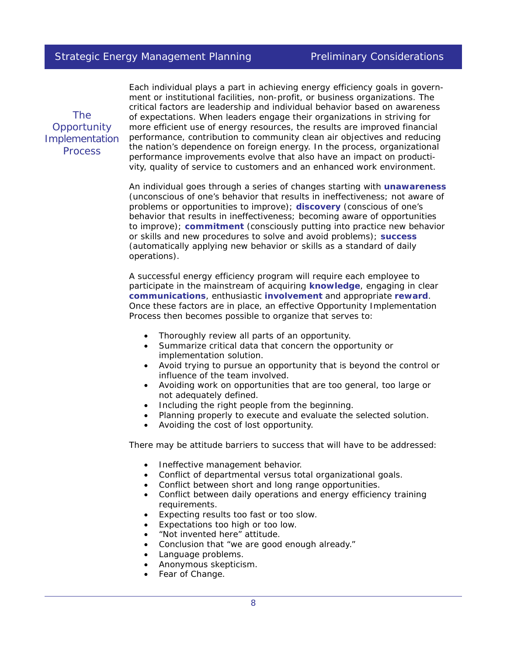The **Opportunity Implementation** Process

Each individual plays a part in achieving energy efficiency goals in government or institutional facilities, non-profit, or business organizations. The critical factors are leadership and individual behavior based on awareness of expectations. When leaders engage their organizations in striving for more efficient use of energy resources, the results are improved financial performance, contribution to community clean air objectives and reducing the nation's dependence on foreign energy. In the process, organizational performance improvements evolve that also have an impact on productivity, quality of service to customers and an enhanced work environment.

An individual goes through a series of changes starting with **unawareness** (unconscious of one's behavior that results in ineffectiveness; not aware of problems or opportunities to improve); **discovery** (conscious of one's behavior that results in ineffectiveness; becoming aware of opportunities to improve); **commitment** (consciously putting into practice new behavior or skills and new procedures to solve and avoid problems); **success** (automatically applying new behavior or skills as a standard of daily operations).

A successful energy efficiency program will require each employee to participate in the mainstream of acquiring **knowledge**, engaging in clear **communications**, enthusiastic **involvement** and appropriate **reward**. Once these factors are in place, an effective Opportunity Implementation Process then becomes possible to organize that serves to:

- Thoroughly review all parts of an opportunity.
- Summarize critical data that concern the opportunity or implementation solution.
- Avoid trying to pursue an opportunity that is beyond the control or influence of the team involved.
- Avoiding work on opportunities that are too general, too large or not adequately defined.
- Including the right people from the beginning.
- Planning properly to execute and evaluate the selected solution.
- Avoiding the cost of lost opportunity.

There may be attitude barriers to success that will have to be addressed:

- Ineffective management behavior.
- Conflict of departmental versus total organizational goals.
- Conflict between short and long range opportunities.
- Conflict between daily operations and energy efficiency training requirements.
- Expecting results too fast or too slow.
- Expectations too high or too low.
- "Not invented here" attitude.
- Conclusion that "we are good enough already."
- Language problems.
- Anonymous skepticism.
- Fear of Change.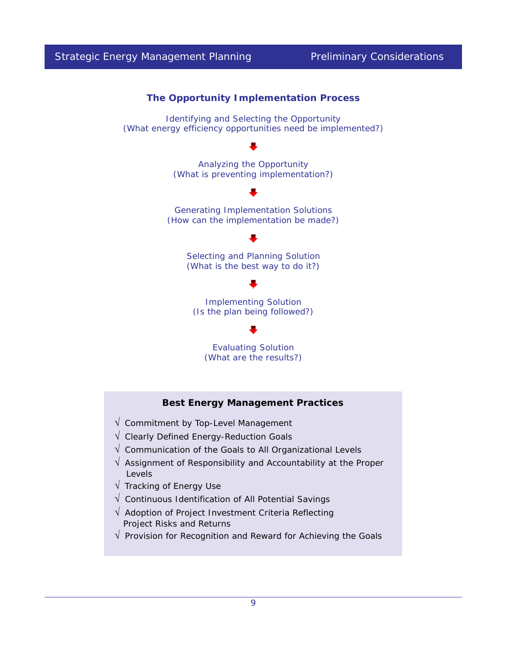

# **Best Energy Management Practices**

- $\sqrt{\ }$  Commitment by Top-Level Management
- √ Clearly Defined Energy-Reduction Goals
- $\sqrt{ }$  Communication of the Goals to All Organizational Levels
- $\sqrt{ }$  Assignment of Responsibility and Accountability at the Proper Levels
- √ Tracking of Energy Use
- √ Continuous Identification of All Potential Savings
- √ Adoption of Project Investment Criteria Reflecting Project Risks and Returns
- √ Provision for Recognition and Reward for Achieving the Goals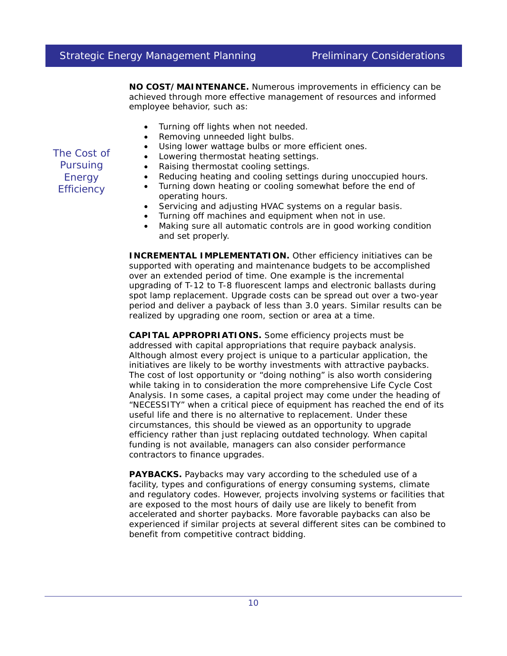**NO COST/MAINTENANCE.** Numerous improvements in efficiency can be achieved through more effective management of resources and informed employee behavior, such as:

- Turning off lights when not needed.
- Removing unneeded light bulbs.
- Using lower wattage bulbs or more efficient ones.

• Lowering thermostat heating settings.

- Raising thermostat cooling settings.
- Reducing heating and cooling settings during unoccupied hours.
- Turning down heating or cooling somewhat before the end of operating hours.
- Servicing and adjusting HVAC systems on a regular basis.
- Turning off machines and equipment when not in use.
- Making sure all automatic controls are in good working condition and set properly.

**INCREMENTAL IMPLEMENTATION.** Other efficiency initiatives can be supported with operating and maintenance budgets to be accomplished over an extended period of time. One example is the incremental upgrading of T-12 to T-8 fluorescent lamps and electronic ballasts during spot lamp replacement. Upgrade costs can be spread out over a two-year period and deliver a payback of less than 3.0 years. Similar results can be realized by upgrading one room, section or area at a time.

**CAPITAL APPROPRIATIONS.** Some efficiency projects must be addressed with capital appropriations that require payback analysis. Although almost every project is unique to a particular application, the initiatives are likely to be worthy investments with attractive paybacks. The cost of lost opportunity or "doing nothing" is also worth considering while taking in to consideration the more comprehensive Life Cycle Cost Analysis. In some cases, a capital project may come under the heading of "NECESSITY" when a critical piece of equipment has reached the end of its useful life and there is no alternative to replacement. Under these circumstances, this should be viewed as an opportunity to upgrade efficiency rather than just replacing outdated technology. When capital funding is not available, managers can also consider performance contractors to finance upgrades.

**PAYBACKS.** Paybacks may vary according to the scheduled use of a facility, types and configurations of energy consuming systems, climate and regulatory codes. However, projects involving systems or facilities that are exposed to the most hours of daily use are likely to benefit from accelerated and shorter paybacks. More favorable paybacks can also be experienced if similar projects at several different sites can be combined to benefit from competitive contract bidding.

The Cost of **Pursuing Energy Efficiency**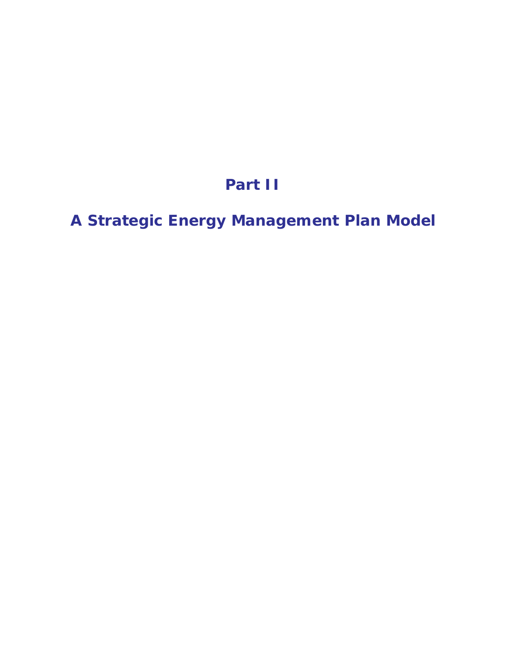# **Part II**

**A Strategic Energy Management Plan Model**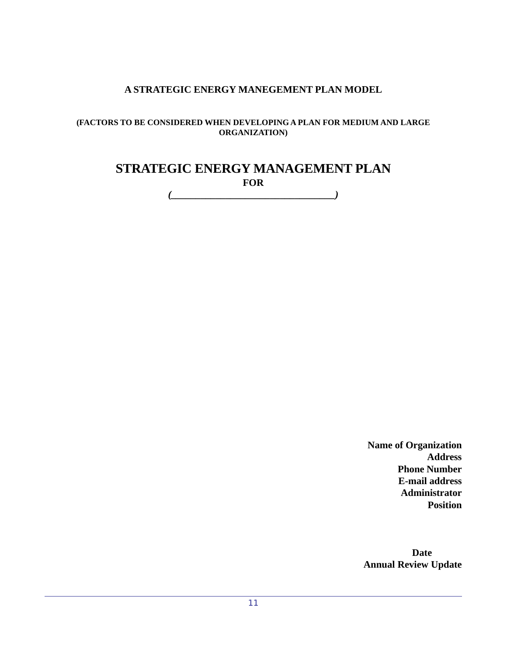# **A STRATEGIC ENERGY MANEGEMENT PLAN MODEL**

# **(FACTORS TO BE CONSIDERED WHEN DEVELOPING A PLAN FOR MEDIUM AND LARGE ORGANIZATION)**

# **STRATEGIC ENERGY MANAGEMENT PLAN FOR**

*(\_\_\_\_\_\_\_\_\_\_\_\_\_\_\_\_\_\_\_\_\_\_\_\_\_\_\_\_\_\_\_\_\_)*

**Name of Organization Address Phone Number E-mail address Administrator Position**

 **Date Annual Review Update**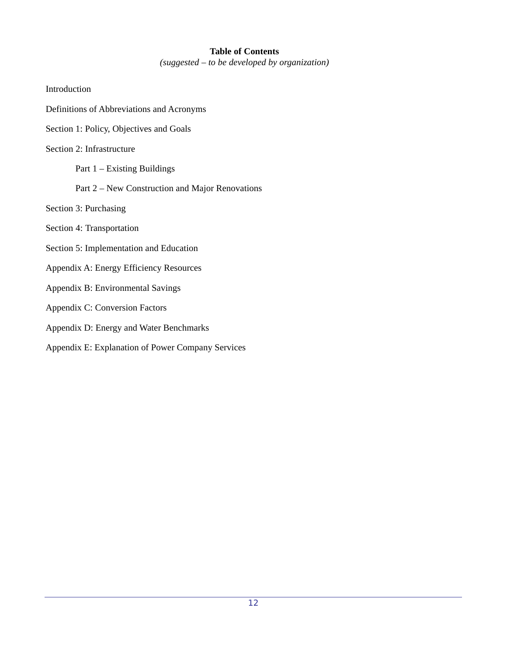# **Table of Contents**

*(suggested – to be developed by organization)*

- Introduction
- Definitions of Abbreviations and Acronyms
- Section 1: Policy, Objectives and Goals
- Section 2: Infrastructure
	- Part 1 Existing Buildings
	- Part 2 New Construction and Major Renovations
- Section 3: Purchasing
- Section 4: Transportation
- Section 5: Implementation and Education
- Appendix A: Energy Efficiency Resources
- Appendix B: Environmental Savings
- Appendix C: Conversion Factors
- Appendix D: Energy and Water Benchmarks
- Appendix E: Explanation of Power Company Services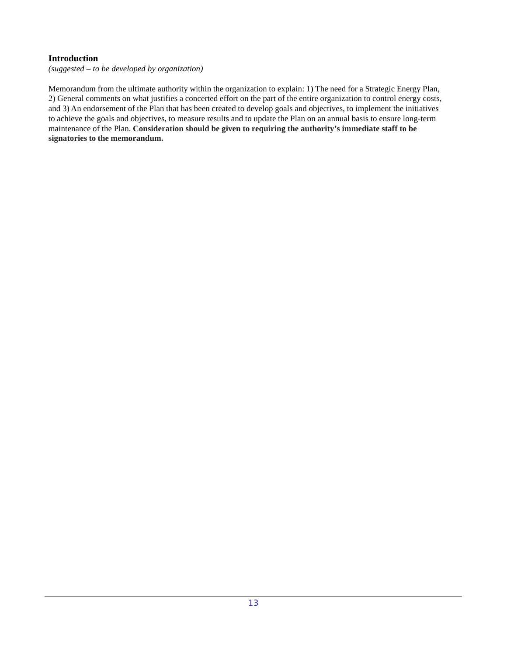# **Introduction**

*(suggested – to be developed by organization)*

Memorandum from the ultimate authority within the organization to explain: 1) The need for a Strategic Energy Plan, 2) General comments on what justifies a concerted effort on the part of the entire organization to control energy costs, and 3) An endorsement of the Plan that has been created to develop goals and objectives, to implement the initiatives to achieve the goals and objectives, to measure results and to update the Plan on an annual basis to ensure long-term maintenance of the Plan. **Consideration should be given to requiring the authority's immediate staff to be signatories to the memorandum.**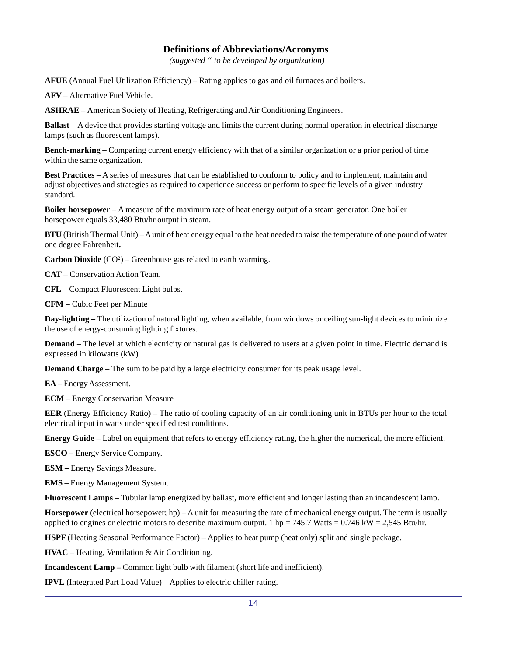# **Definitions of Abbreviations/Acronyms**

*(suggested " to be developed by organization)*

**AFUE** (Annual Fuel Utilization Efficiency) – Rating applies to gas and oil furnaces and boilers.

**AFV** – Alternative Fuel Vehicle.

**ASHRAE** – American Society of Heating, Refrigerating and Air Conditioning Engineers.

**Ballast** – A device that provides starting voltage and limits the current during normal operation in electrical discharge lamps (such as fluorescent lamps).

**Bench-marking** – Comparing current energy efficiency with that of a similar organization or a prior period of time within the same organization.

**Best Practices** – A series of measures that can be established to conform to policy and to implement, maintain and adjust objectives and strategies as required to experience success or perform to specific levels of a given industry standard.

**Boiler horsepower** – A measure of the maximum rate of heat energy output of a steam generator. One boiler horsepower equals 33,480 Btu/hr output in steam.

**BTU** (British Thermal Unit) – A unit of heat energy equal to the heat needed to raise the temperature of one pound of water one degree Fahrenheit**.**

**Carbon Dioxide** (CO²) – Greenhouse gas related to earth warming.

**CAT** – Conservation Action Team.

**CFL** – Compact Fluorescent Light bulbs.

**CFM** – Cubic Feet per Minute

**Day-lighting –** The utilization of natural lighting, when available, from windows or ceiling sun-light devices to minimize the use of energy-consuming lighting fixtures.

**Demand** – The level at which electricity or natural gas is delivered to users at a given point in time. Electric demand is expressed in kilowatts (kW)

**Demand Charge** – The sum to be paid by a large electricity consumer for its peak usage level.

**EA** – Energy Assessment.

**ECM** – Energy Conservation Measure

**EER** (Energy Efficiency Ratio) – The ratio of cooling capacity of an air conditioning unit in BTUs per hour to the total electrical input in watts under specified test conditions.

**Energy Guide** – Label on equipment that refers to energy efficiency rating, the higher the numerical, the more efficient.

**ESCO –** Energy Service Company.

**ESM –** Energy Savings Measure.

**EMS** – Energy Management System.

**Fluorescent Lamps** – Tubular lamp energized by ballast, more efficient and longer lasting than an incandescent lamp.

**Horsepower** (electrical horsepower; hp) – A unit for measuring the rate of mechanical energy output. The term is usually applied to engines or electric motors to describe maximum output. 1 hp = 745.7 Watts =  $0.746$  kW =  $2,545$  Btu/hr.

**HSPF** (Heating Seasonal Performance Factor) – Applies to heat pump (heat only) split and single package.

**HVAC** – Heating, Ventilation & Air Conditioning.

**Incandescent Lamp –** Common light bulb with filament (short life and inefficient).

**IPVL** (Integrated Part Load Value) – Applies to electric chiller rating.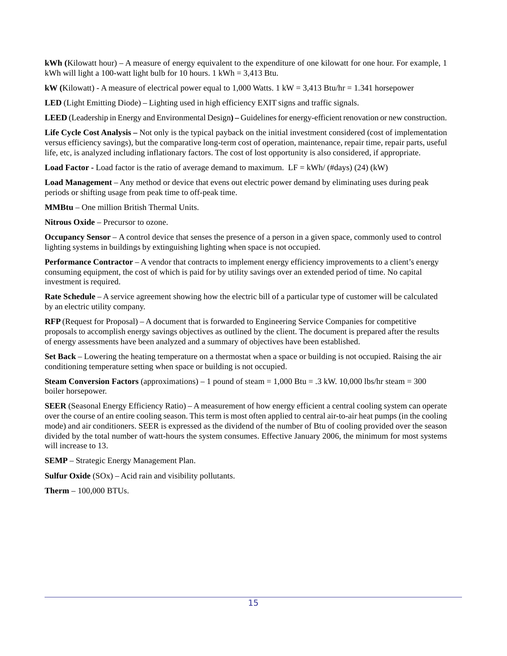**kWh (**Kilowatt hour) – A measure of energy equivalent to the expenditure of one kilowatt for one hour. For example, 1 kWh will light a 100-watt light bulb for 10 hours.  $1 \text{ kWh} = 3,413 \text{ Btu}$ .

**kW** (Kilowatt) - A measure of electrical power equal to 1,000 Watts. 1 kW = 3,413 Btu/hr = 1.341 horsepower

**LED** (Light Emitting Diode) – Lighting used in high efficiency EXIT signs and traffic signals.

**LEED** (Leadership in Energy and Environmental Design**) –** Guidelines for energy-efficient renovation or new construction.

**Life Cycle Cost Analysis –** Not only is the typical payback on the initial investment considered (cost of implementation versus efficiency savings), but the comparative long-term cost of operation, maintenance, repair time, repair parts, useful life, etc, is analyzed including inflationary factors. The cost of lost opportunity is also considered, if appropriate.

**Load Factor -** Load factor is the ratio of average demand to maximum. LF =  $kWh/$  (#days) (24) ( $kW$ )

**Load Management** – Any method or device that evens out electric power demand by eliminating uses during peak periods or shifting usage from peak time to off-peak time.

**MMBtu** – One million British Thermal Units.

**Nitrous Oxide** – Precursor to ozone.

**Occupancy Sensor** – A control device that senses the presence of a person in a given space, commonly used to control lighting systems in buildings by extinguishing lighting when space is not occupied.

**Performance Contractor** – A vendor that contracts to implement energy efficiency improvements to a client's energy consuming equipment, the cost of which is paid for by utility savings over an extended period of time. No capital investment is required.

**Rate Schedule** – A service agreement showing how the electric bill of a particular type of customer will be calculated by an electric utility company.

**RFP** (Request for Proposal) – A document that is forwarded to Engineering Service Companies for competitive proposals to accomplish energy savings objectives as outlined by the client. The document is prepared after the results of energy assessments have been analyzed and a summary of objectives have been established.

**Set Back** – Lowering the heating temperature on a thermostat when a space or building is not occupied. Raising the air conditioning temperature setting when space or building is not occupied.

**Steam Conversion Factors** (approximations) – 1 pound of steam  $= 1,000$  Btu  $= .3$  kW. 10,000 lbs/hr steam  $= 300$ boiler horsepower.

**SEER** (Seasonal Energy Efficiency Ratio) – A measurement of how energy efficient a central cooling system can operate over the course of an entire cooling season. This term is most often applied to central air-to-air heat pumps (in the cooling mode) and air conditioners. SEER is expressed as the dividend of the number of Btu of cooling provided over the season divided by the total number of watt-hours the system consumes. Effective January 2006, the minimum for most systems will increase to 13.

**SEMP** – Strategic Energy Management Plan.

**Sulfur Oxide** (SOx) – Acid rain and visibility pollutants.

**Therm** – 100,000 BTUs.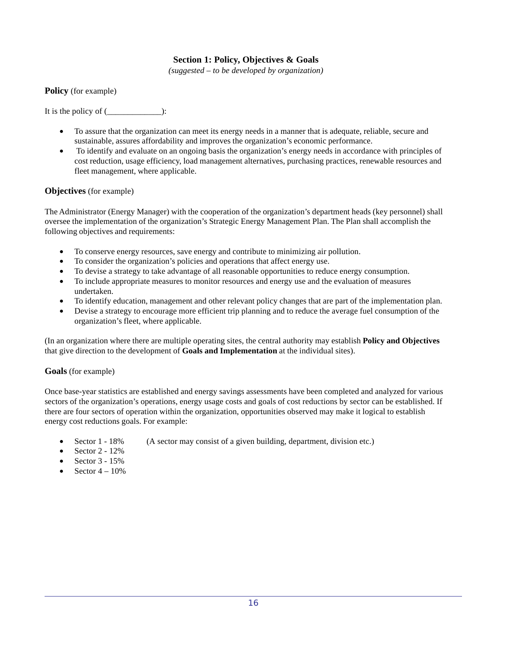# **Section 1: Policy, Objectives & Goals**

*(suggested – to be developed by organization)*

**Policy** (for example)

It is the policy of (\_\_\_\_\_\_\_\_\_\_\_\_\_):

- To assure that the organization can meet its energy needs in a manner that is adequate, reliable, secure and sustainable, assures affordability and improves the organization's economic performance.
- To identify and evaluate on an ongoing basis the organization's energy needs in accordance with principles of cost reduction, usage efficiency, load management alternatives, purchasing practices, renewable resources and fleet management, where applicable.

# **Objectives** (for example)

The Administrator (Energy Manager) with the cooperation of the organization's department heads (key personnel) shall oversee the implementation of the organization's Strategic Energy Management Plan. The Plan shall accomplish the following objectives and requirements:

- To conserve energy resources, save energy and contribute to minimizing air pollution.
- To consider the organization's policies and operations that affect energy use.
- To devise a strategy to take advantage of all reasonable opportunities to reduce energy consumption.
- To include appropriate measures to monitor resources and energy use and the evaluation of measures undertaken.
- To identify education, management and other relevant policy changes that are part of the implementation plan.
- Devise a strategy to encourage more efficient trip planning and to reduce the average fuel consumption of the organization's fleet, where applicable.

(In an organization where there are multiple operating sites, the central authority may establish **Policy and Objectives** that give direction to the development of **Goals and Implementation** at the individual sites).

# **Goals** (for example)

Once base-year statistics are established and energy savings assessments have been completed and analyzed for various sectors of the organization's operations, energy usage costs and goals of cost reductions by sector can be established. If there are four sectors of operation within the organization, opportunities observed may make it logical to establish energy cost reductions goals. For example:

- Sector 1 18% (A sector may consist of a given building, department, division etc.)
- Sector 2 12%
- Sector 3 15%
- Sector  $4 10\%$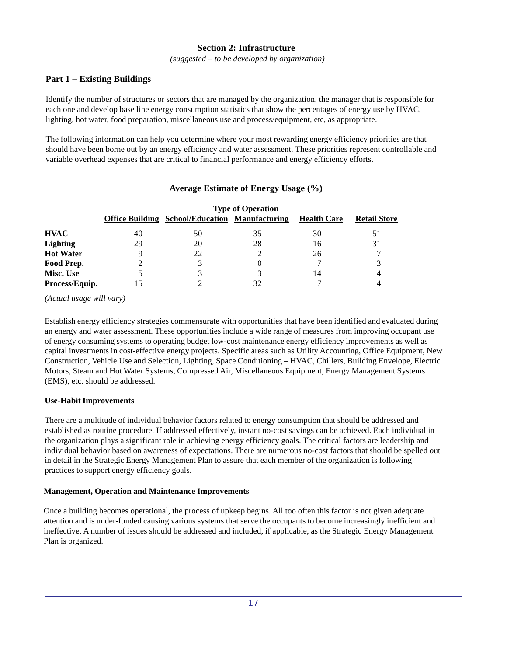# **Section 2: Infrastructure**

*(suggested – to be developed by organization)*

# **Part 1 – Existing Buildings**

Identify the number of structures or sectors that are managed by the organization, the manager that is responsible for each one and develop base line energy consumption statistics that show the percentages of energy use by HVAC, lighting, hot water, food preparation, miscellaneous use and process/equipment, etc, as appropriate.

The following information can help you determine where your most rewarding energy efficiency priorities are that should have been borne out by an energy efficiency and water assessment. These priorities represent controllable and variable overhead expenses that are critical to financial performance and energy efficiency efforts.

|                  | <b>Type of Operation</b> |                                                       |    |                    |                     |  |  |  |  |  |
|------------------|--------------------------|-------------------------------------------------------|----|--------------------|---------------------|--|--|--|--|--|
|                  |                          | <b>Office Building School/Education Manufacturing</b> |    | <b>Health Care</b> | <b>Retail Store</b> |  |  |  |  |  |
| HVAC             | 40                       | 50                                                    | 35 | 30                 | 51                  |  |  |  |  |  |
| <b>Lighting</b>  | 29                       | 20                                                    | 28 | 16                 | 31                  |  |  |  |  |  |
| <b>Hot Water</b> |                          | 22                                                    |    | 26                 |                     |  |  |  |  |  |
| Food Prep.       |                          | 3                                                     |    |                    | 3                   |  |  |  |  |  |
| <b>Misc. Use</b> |                          |                                                       |    | 14                 | 4                   |  |  |  |  |  |
| Process/Equip.   |                          |                                                       | 32 |                    | 4                   |  |  |  |  |  |

# **Average Estimate of Energy Usage (%)**

*(Actual usage will vary)*

Establish energy efficiency strategies commensurate with opportunities that have been identified and evaluated during an energy and water assessment. These opportunities include a wide range of measures from improving occupant use of energy consuming systems to operating budget low-cost maintenance energy efficiency improvements as well as capital investments in cost-effective energy projects. Specific areas such as Utility Accounting, Office Equipment, New Construction, Vehicle Use and Selection, Lighting, Space Conditioning – HVAC, Chillers, Building Envelope, Electric Motors, Steam and Hot Water Systems, Compressed Air, Miscellaneous Equipment, Energy Management Systems (EMS), etc. should be addressed.

# **Use-Habit Improvements**

There are a multitude of individual behavior factors related to energy consumption that should be addressed and established as routine procedure. If addressed effectively, instant no-cost savings can be achieved. Each individual in the organization plays a significant role in achieving energy efficiency goals. The critical factors are leadership and individual behavior based on awareness of expectations. There are numerous no-cost factors that should be spelled out in detail in the Strategic Energy Management Plan to assure that each member of the organization is following practices to support energy efficiency goals.

# **Management, Operation and Maintenance Improvements**

Once a building becomes operational, the process of upkeep begins. All too often this factor is not given adequate attention and is under-funded causing various systems that serve the occupants to become increasingly inefficient and ineffective. A number of issues should be addressed and included, if applicable, as the Strategic Energy Management Plan is organized.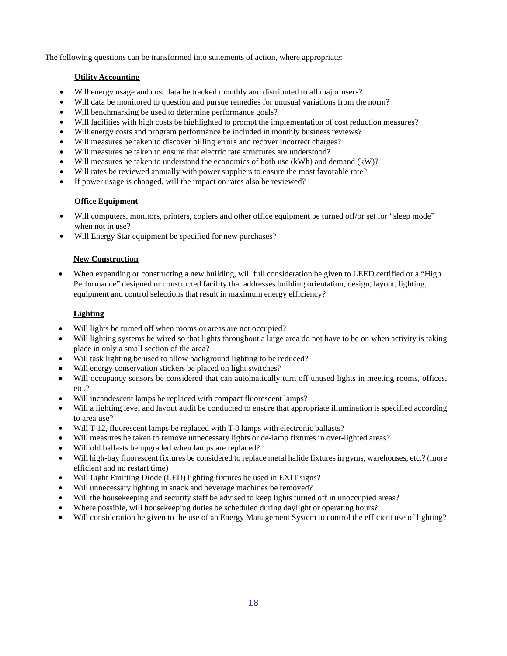The following questions can be transformed into statements of action, where appropriate:

# **Utility Accounting**

- Will energy usage and cost data be tracked monthly and distributed to all major users?
- Will data be monitored to question and pursue remedies for unusual variations from the norm?
- Will benchmarking be used to determine performance goals?
- Will facilities with high costs be highlighted to prompt the implementation of cost reduction measures?
- Will energy costs and program performance be included in monthly business reviews?
- Will measures be taken to discover billing errors and recover incorrect charges?
- Will measures be taken to ensure that electric rate structures are understood?
- Will measures be taken to understand the economics of both use (kWh) and demand (kW)?
- Will rates be reviewed annually with power suppliers to ensure the most favorable rate?
- If power usage is changed, will the impact on rates also be reviewed?

# **Office Equipment**

- Will computers, monitors, printers, copiers and other office equipment be turned off/or set for "sleep mode" when not in use?
- Will Energy Star equipment be specified for new purchases?

# **New Construction**

• When expanding or constructing a new building, will full consideration be given to LEED certified or a "High Performance" designed or constructed facility that addresses building orientation, design, layout, lighting, equipment and control selections that result in maximum energy efficiency?

# **Lighting**

- Will lights be turned off when rooms or areas are not occupied?
- Will lighting systems be wired so that lights throughout a large area do not have to be on when activity is taking place in only a small section of the area?
- Will task lighting be used to allow background lighting to be reduced?
- Will energy conservation stickers be placed on light switches?
- Will occupancy sensors be considered that can automatically turn off unused lights in meeting rooms, offices, etc.?
- Will incandescent lamps be replaced with compact fluorescent lamps?
- Will a lighting level and layout audit be conducted to ensure that appropriate illumination is specified according to area use?
- Will T-12, fluorescent lamps be replaced with T-8 lamps with electronic ballasts?
- Will measures be taken to remove unnecessary lights or de-lamp fixtures in over-lighted areas?
- Will old ballasts be upgraded when lamps are replaced?
- Will high-bay fluorescent fixtures be considered to replace metal halide fixtures in gyms, warehouses, etc.? (more efficient and no restart time)
- Will Light Emitting Diode (LED) lighting fixtures be used in EXIT signs?
- Will unnecessary lighting in snack and beverage machines be removed?
- Will the housekeeping and security staff be advised to keep lights turned off in unoccupied areas?
- Where possible, will housekeeping duties be scheduled during daylight or operating hours?
- Will consideration be given to the use of an Energy Management System to control the efficient use of lighting?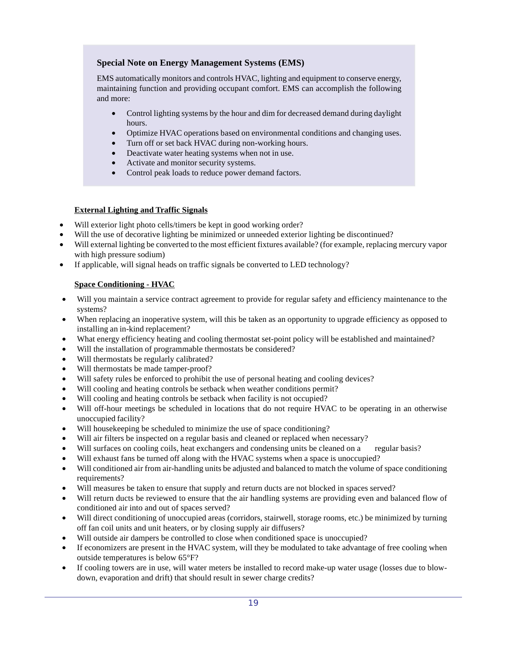# **Special Note on Energy Management Systems (EMS)**

EMS automatically monitors and controls HVAC, lighting and equipment to conserve energy, maintaining function and providing occupant comfort. EMS can accomplish the following and more:

- Control lighting systems by the hour and dim for decreased demand during daylight hours.
- Optimize HVAC operations based on environmental conditions and changing uses.
- Turn off or set back HVAC during non-working hours.
- Deactivate water heating systems when not in use.
- Activate and monitor security systems.
- Control peak loads to reduce power demand factors.

# **External Lighting and Traffic Signals**

- Will exterior light photo cells/timers be kept in good working order?
- Will the use of decorative lighting be minimized or unneeded exterior lighting be discontinued?
- Will external lighting be converted to the most efficient fixtures available? (for example, replacing mercury vapor with high pressure sodium)
- If applicable, will signal heads on traffic signals be converted to LED technology?

# **Space Conditioning - HVAC**

- Will you maintain a service contract agreement to provide for regular safety and efficiency maintenance to the systems?
- When replacing an inoperative system, will this be taken as an opportunity to upgrade efficiency as opposed to installing an in-kind replacement?
- What energy efficiency heating and cooling thermostat set-point policy will be established and maintained?
- Will the installation of programmable thermostats be considered?
- Will thermostats be regularly calibrated?
- Will thermostats be made tamper-proof?
- Will safety rules be enforced to prohibit the use of personal heating and cooling devices?
- Will cooling and heating controls be setback when weather conditions permit?
- Will cooling and heating controls be setback when facility is not occupied?
- Will off-hour meetings be scheduled in locations that do not require HVAC to be operating in an otherwise unoccupied facility?
- Will house keeping be scheduled to minimize the use of space conditioning?
- Will air filters be inspected on a regular basis and cleaned or replaced when necessary?
- Will surfaces on cooling coils, heat exchangers and condensing units be cleaned on a regular basis?
- Will exhaust fans be turned off along with the HVAC systems when a space is unoccupied?
- Will conditioned air from air-handling units be adjusted and balanced to match the volume of space conditioning requirements?
- Will measures be taken to ensure that supply and return ducts are not blocked in spaces served?
- Will return ducts be reviewed to ensure that the air handling systems are providing even and balanced flow of conditioned air into and out of spaces served?
- Will direct conditioning of unoccupied areas (corridors, stairwell, storage rooms, etc.) be minimized by turning off fan coil units and unit heaters, or by closing supply air diffusers?
- Will outside air dampers be controlled to close when conditioned space is unoccupied?
- If economizers are present in the HVAC system, will they be modulated to take advantage of free cooling when outside temperatures is below 65°F?
- If cooling towers are in use, will water meters be installed to record make-up water usage (losses due to blowdown, evaporation and drift) that should result in sewer charge credits?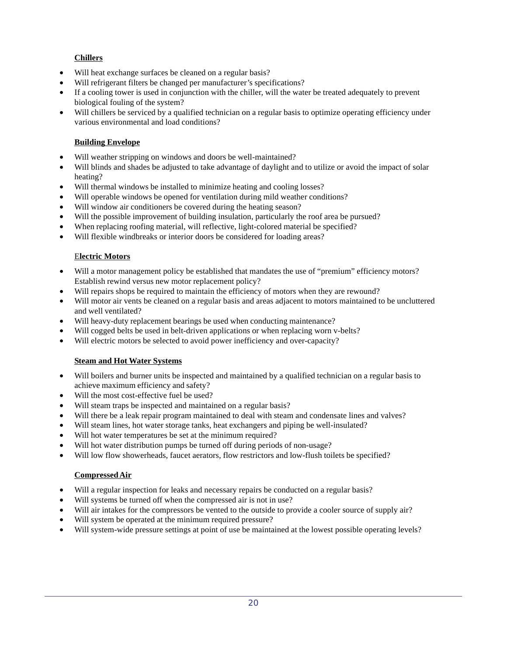# **Chillers**

- Will heat exchange surfaces be cleaned on a regular basis?
- Will refrigerant filters be changed per manufacturer's specifications?
- If a cooling tower is used in conjunction with the chiller, will the water be treated adequately to prevent biological fouling of the system?
- Will chillers be serviced by a qualified technician on a regular basis to optimize operating efficiency under various environmental and load conditions?

# **Building Envelope**

- Will weather stripping on windows and doors be well-maintained?
- Will blinds and shades be adjusted to take advantage of daylight and to utilize or avoid the impact of solar heating?
- Will thermal windows be installed to minimize heating and cooling losses?
- Will operable windows be opened for ventilation during mild weather conditions?
- Will window air conditioners be covered during the heating season?
- Will the possible improvement of building insulation, particularly the roof area be pursued?
- When replacing roofing material, will reflective, light-colored material be specified?
- Will flexible windbreaks or interior doors be considered for loading areas?

# E**lectric Motors**

- Will a motor management policy be established that mandates the use of "premium" efficiency motors? Establish rewind versus new motor replacement policy?
- Will repairs shops be required to maintain the efficiency of motors when they are rewound?
- Will motor air vents be cleaned on a regular basis and areas adjacent to motors maintained to be uncluttered and well ventilated?
- Will heavy-duty replacement bearings be used when conducting maintenance?
- Will cogged belts be used in belt-driven applications or when replacing worn v-belts?
- Will electric motors be selected to avoid power inefficiency and over-capacity?

# **Steam and Hot Water Systems**

- Will boilers and burner units be inspected and maintained by a qualified technician on a regular basis to achieve maximum efficiency and safety?
- Will the most cost-effective fuel be used?
- Will steam traps be inspected and maintained on a regular basis?
- Will there be a leak repair program maintained to deal with steam and condensate lines and valves?
- Will steam lines, hot water storage tanks, heat exchangers and piping be well-insulated?
- Will hot water temperatures be set at the minimum required?
- Will hot water distribution pumps be turned off during periods of non-usage?
- Will low flow showerheads, faucet aerators, flow restrictors and low-flush toilets be specified?

# **Compressed Air**

- Will a regular inspection for leaks and necessary repairs be conducted on a regular basis?
- Will systems be turned off when the compressed air is not in use?
- Will air intakes for the compressors be vented to the outside to provide a cooler source of supply air?
- Will system be operated at the minimum required pressure?
- Will system-wide pressure settings at point of use be maintained at the lowest possible operating levels?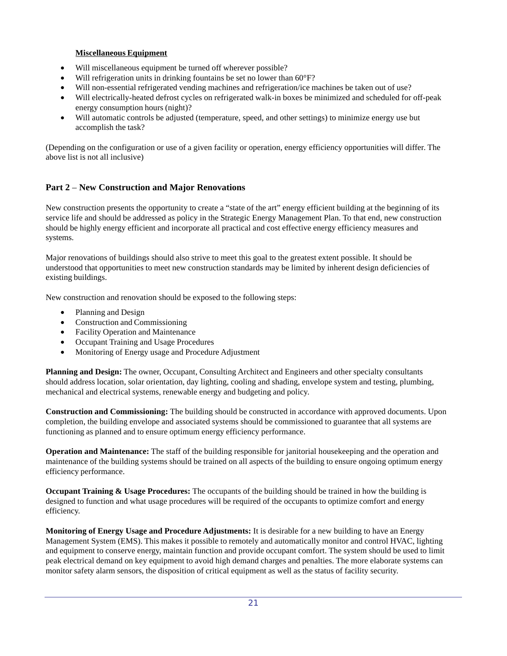# **Miscellaneous Equipment**

- Will miscellaneous equipment be turned off wherever possible?
- Will refrigeration units in drinking fountains be set no lower than 60°F?
- Will non-essential refrigerated vending machines and refrigeration/ice machines be taken out of use?
- Will electrically-heated defrost cycles on refrigerated walk-in boxes be minimized and scheduled for off-peak energy consumption hours (night)?
- Will automatic controls be adjusted (temperature, speed, and other settings) to minimize energy use but accomplish the task?

(Depending on the configuration or use of a given facility or operation, energy efficiency opportunities will differ. The above list is not all inclusive)

# **Part 2** – **New Construction and Major Renovations**

New construction presents the opportunity to create a "state of the art" energy efficient building at the beginning of its service life and should be addressed as policy in the Strategic Energy Management Plan. To that end, new construction should be highly energy efficient and incorporate all practical and cost effective energy efficiency measures and systems.

Major renovations of buildings should also strive to meet this goal to the greatest extent possible. It should be understood that opportunities to meet new construction standards may be limited by inherent design deficiencies of existing buildings.

New construction and renovation should be exposed to the following steps:

- Planning and Design
- Construction and Commissioning
- Facility Operation and Maintenance
- Occupant Training and Usage Procedures
- Monitoring of Energy usage and Procedure Adjustment

**Planning and Design:** The owner, Occupant, Consulting Architect and Engineers and other specialty consultants should address location, solar orientation, day lighting, cooling and shading, envelope system and testing, plumbing, mechanical and electrical systems, renewable energy and budgeting and policy.

**Construction and Commissioning:** The building should be constructed in accordance with approved documents. Upon completion, the building envelope and associated systems should be commissioned to guarantee that all systems are functioning as planned and to ensure optimum energy efficiency performance.

**Operation and Maintenance:** The staff of the building responsible for janitorial housekeeping and the operation and maintenance of the building systems should be trained on all aspects of the building to ensure ongoing optimum energy efficiency performance.

**Occupant Training & Usage Procedures:** The occupants of the building should be trained in how the building is designed to function and what usage procedures will be required of the occupants to optimize comfort and energy efficiency.

**Monitoring of Energy Usage and Procedure Adjustments:** It is desirable for a new building to have an Energy Management System (EMS). This makes it possible to remotely and automatically monitor and control HVAC, lighting and equipment to conserve energy, maintain function and provide occupant comfort. The system should be used to limit peak electrical demand on key equipment to avoid high demand charges and penalties. The more elaborate systems can monitor safety alarm sensors, the disposition of critical equipment as well as the status of facility security.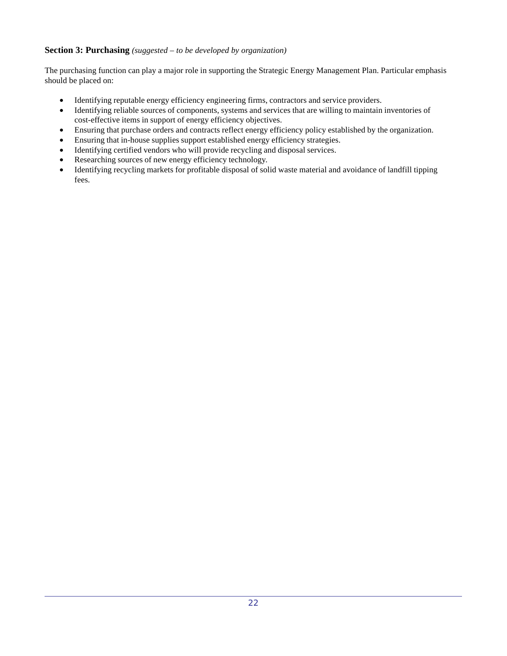# **Section 3: Purchasing** *(suggested – to be developed by organization)*

The purchasing function can play a major role in supporting the Strategic Energy Management Plan. Particular emphasis should be placed on:

- Identifying reputable energy efficiency engineering firms, contractors and service providers.
- Identifying reliable sources of components, systems and services that are willing to maintain inventories of cost-effective items in support of energy efficiency objectives.
- Ensuring that purchase orders and contracts reflect energy efficiency policy established by the organization.
- Ensuring that in-house supplies support established energy efficiency strategies.
- Identifying certified vendors who will provide recycling and disposal services.
- Researching sources of new energy efficiency technology.
- Identifying recycling markets for profitable disposal of solid waste material and avoidance of landfill tipping fees.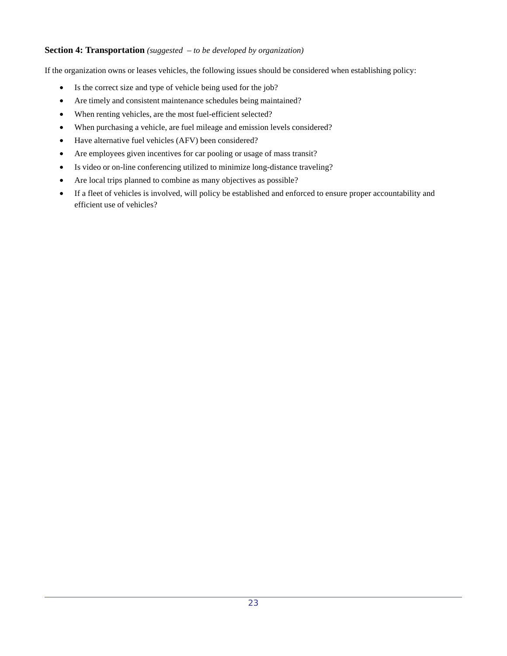# **Section 4: Transportation** *(suggested – to be developed by organization)*

If the organization owns or leases vehicles, the following issues should be considered when establishing policy:

- Is the correct size and type of vehicle being used for the job?
- Are timely and consistent maintenance schedules being maintained?
- When renting vehicles, are the most fuel-efficient selected?
- When purchasing a vehicle, are fuel mileage and emission levels considered?
- Have alternative fuel vehicles (AFV) been considered?
- Are employees given incentives for car pooling or usage of mass transit?
- Is video or on-line conferencing utilized to minimize long-distance traveling?
- Are local trips planned to combine as many objectives as possible?
- If a fleet of vehicles is involved, will policy be established and enforced to ensure proper accountability and efficient use of vehicles?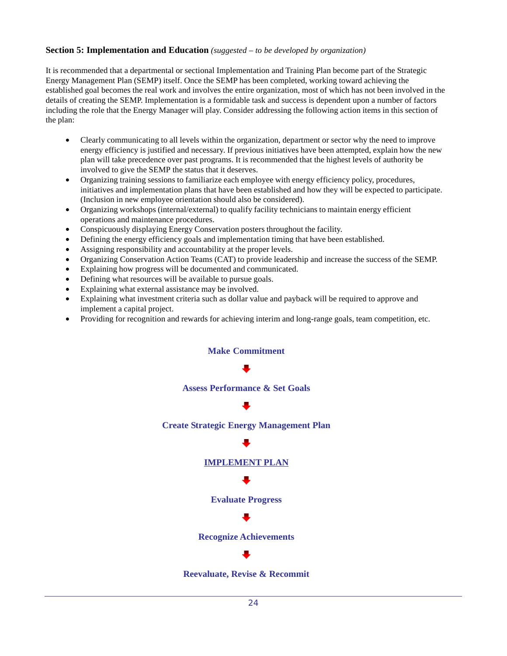# **Section 5: Implementation and Education** *(suggested – to be developed by organization)*

It is recommended that a departmental or sectional Implementation and Training Plan become part of the Strategic Energy Management Plan (SEMP) itself. Once the SEMP has been completed, working toward achieving the established goal becomes the real work and involves the entire organization, most of which has not been involved in the details of creating the SEMP. Implementation is a formidable task and success is dependent upon a number of factors including the role that the Energy Manager will play. Consider addressing the following action items in this section of the plan:

- Clearly communicating to all levels within the organization, department or sector why the need to improve energy efficiency is justified and necessary. If previous initiatives have been attempted, explain how the new plan will take precedence over past programs. It is recommended that the highest levels of authority be involved to give the SEMP the status that it deserves.
- Organizing training sessions to familiarize each employee with energy efficiency policy, procedures, initiatives and implementation plans that have been established and how they will be expected to participate. (Inclusion in new employee orientation should also be considered).
- Organizing workshops (internal/external) to qualify facility technicians to maintain energy efficient operations and maintenance procedures.
- Conspicuously displaying Energy Conservation posters throughout the facility.
- Defining the energy efficiency goals and implementation timing that have been established.
- Assigning responsibility and accountability at the proper levels.
- Organizing Conservation Action Teams (CAT) to provide leadership and increase the success of the SEMP.
- Explaining how progress will be documented and communicated.
- Defining what resources will be available to pursue goals.
- Explaining what external assistance may be involved.
- Explaining what investment criteria such as dollar value and payback will be required to approve and implement a capital project.
- Providing for recognition and rewards for achieving interim and long-range goals, team competition, etc.



**Reevaluate, Revise & Recommit**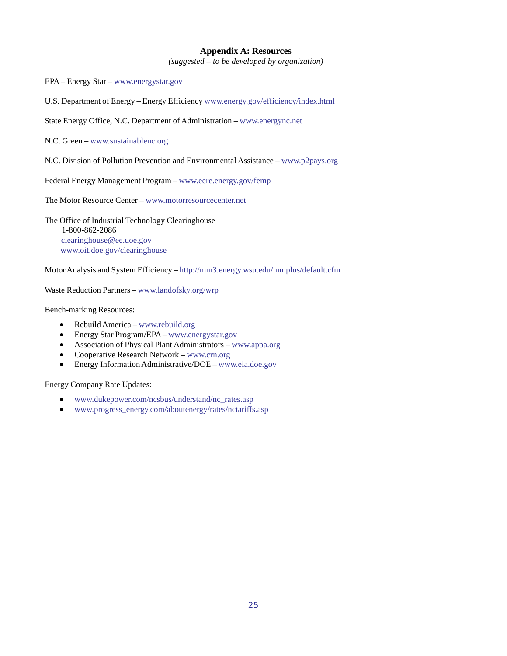# **Appendix A: Resources**

*(suggested – to be developed by organization)*

EPA – Energy Star – www.energystar.gov

U.S. Department of Energy – Energy Efficiency www.energy.gov/efficiency/index.html

State Energy Office, N.C. Department of Administration – www.energync.net

N.C. Green – www.sustainablenc.org

N.C. Division of Pollution Prevention and Environmental Assistance – www.p2pays.org

Federal Energy Management Program – www.eere.energy.gov/femp

The Motor Resource Center – www.motorresourcecenter.net

The Office of Industrial Technology Clearinghouse 1-800-862-2086 clearinghouse@ee.doe.gov www.oit.doe.gov/clearinghouse

Motor Analysis and System Efficiency – http://mm3.energy.wsu.edu/mmplus/default.cfm

Waste Reduction Partners – www.landofsky.org/wrp

Bench-marking Resources:

- Rebuild America www.rebuild.org
- Energy Star Program/EPA www.energystar.gov
- Association of Physical Plant Administrators www.appa.org
- Cooperative Research Network www.crn.org
- Energy Information Administrative/DOE www.eia.doe.gov

Energy Company Rate Updates:

- www.dukepower.com/ncsbus/understand/nc\_rates.asp
- www.progress\_energy.com/aboutenergy/rates/nctariffs.asp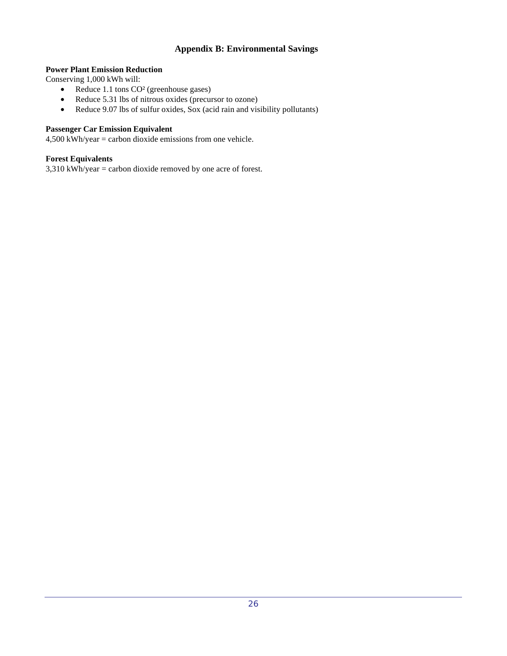# **Appendix B: Environmental Savings**

# **Power Plant Emission Reduction**

Conserving 1,000 kWh will:

- Reduce 1.1 tons CO<sup>2</sup> (greenhouse gases)
- Reduce 5.31 lbs of nitrous oxides (precursor to ozone)
- Reduce 9.07 lbs of sulfur oxides, Sox (acid rain and visibility pollutants)

# **Passenger Car Emission Equivalent**

4,500 kWh/year = carbon dioxide emissions from one vehicle.

# **Forest Equivalents**

 $3,310$  kWh/year = carbon dioxide removed by one acre of forest.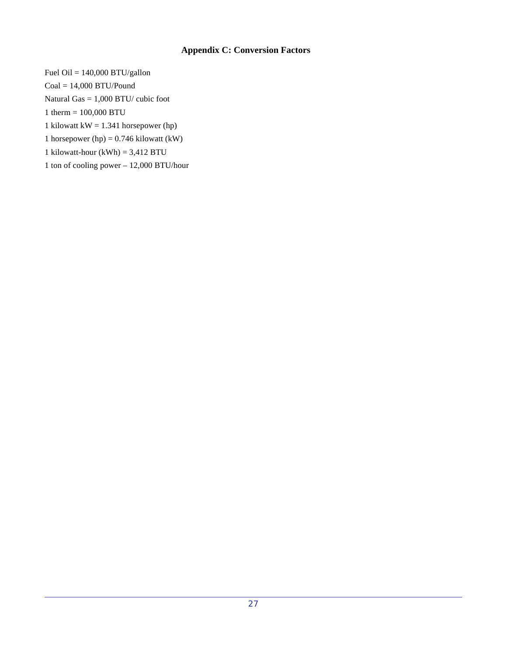# **Appendix C: Conversion Factors**

Fuel Oil =  $140,000$  BTU/gallon  $Coal = 14,000$  BTU/Pound Natural Gas = 1,000 BTU/ cubic foot 1 therm = 100,000 BTU 1 kilowatt kW = 1.341 horsepower (hp) 1 horsepower (hp) =  $0.746$  kilowatt (kW) 1 kilowatt-hour  $(kWh) = 3,412$  BTU 1 ton of cooling power – 12,000 BTU/hour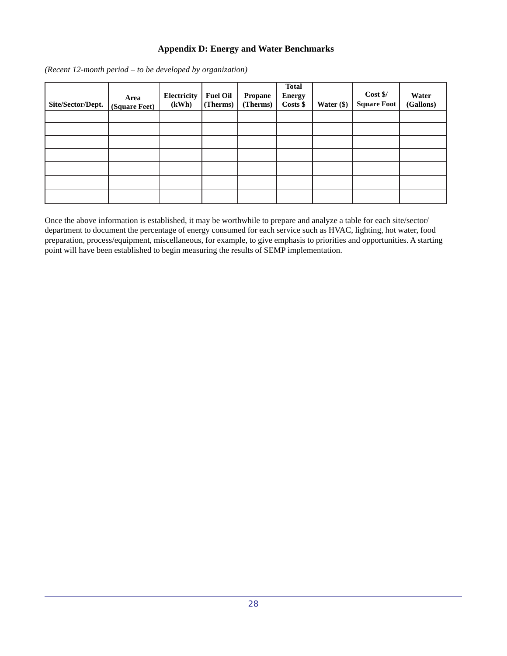# **Appendix D: Energy and Water Benchmarks**

*(Recent 12-month period – to be developed by organization)*

| Site/Sector/Dept. | Area<br>(Square Feet) | Electricity<br>(kWh) | <b>Fuel Oil</b><br>(Therms) | <b>Propane</b><br>(Therms) | <b>Total</b><br><b>Energy</b><br>Costs \$ | Water $(\$)$ | Cost \$/<br><b>Square Foot</b> | Water<br>(Gallons) |
|-------------------|-----------------------|----------------------|-----------------------------|----------------------------|-------------------------------------------|--------------|--------------------------------|--------------------|
|                   |                       |                      |                             |                            |                                           |              |                                |                    |
|                   |                       |                      |                             |                            |                                           |              |                                |                    |
|                   |                       |                      |                             |                            |                                           |              |                                |                    |
|                   |                       |                      |                             |                            |                                           |              |                                |                    |
|                   |                       |                      |                             |                            |                                           |              |                                |                    |
|                   |                       |                      |                             |                            |                                           |              |                                |                    |
|                   |                       |                      |                             |                            |                                           |              |                                |                    |

Once the above information is established, it may be worthwhile to prepare and analyze a table for each site/sector/ department to document the percentage of energy consumed for each service such as HVAC, lighting, hot water, food preparation, process/equipment, miscellaneous, for example, to give emphasis to priorities and opportunities. A starting point will have been established to begin measuring the results of SEMP implementation.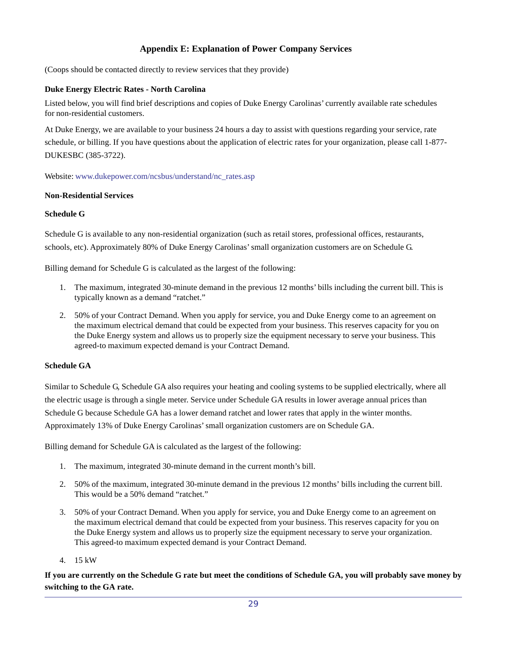# **Appendix E: Explanation of Power Company Services**

(Coops should be contacted directly to review services that they provide)

# **Duke Energy Electric Rates - North Carolina**

Listed below, you will find brief descriptions and copies of Duke Energy Carolinas' currently available rate schedules for non-residential customers.

At Duke Energy, we are available to your business 24 hours a day to assist with questions regarding your service, rate schedule, or billing. If you have questions about the application of electric rates for your organization, please call 1-877- DUKESBC (385-3722).

Website: www.dukepower.com/ncsbus/understand/nc\_rates.asp

# **Non-Residential Services**

#### **Schedule G**

Schedule G is available to any non-residential organization (such as retail stores, professional offices, restaurants, schools, etc). Approximately 80% of Duke Energy Carolinas' small organization customers are on Schedule G.

Billing demand for Schedule G is calculated as the largest of the following:

- 1. The maximum, integrated 30-minute demand in the previous 12 months' bills including the current bill. This is typically known as a demand "ratchet."
- 2. 50% of your Contract Demand. When you apply for service, you and Duke Energy come to an agreement on the maximum electrical demand that could be expected from your business. This reserves capacity for you on the Duke Energy system and allows us to properly size the equipment necessary to serve your business. This agreed-to maximum expected demand is your Contract Demand.

# **Schedule GA**

Similar to Schedule G, Schedule GA also requires your heating and cooling systems to be supplied electrically, where all the electric usage is through a single meter. Service under Schedule GA results in lower average annual prices than Schedule G because Schedule GA has a lower demand ratchet and lower rates that apply in the winter months. Approximately 13% of Duke Energy Carolinas' small organization customers are on Schedule GA.

Billing demand for Schedule GA is calculated as the largest of the following:

- 1. The maximum, integrated 30-minute demand in the current month's bill.
- 2. 50% of the maximum, integrated 30-minute demand in the previous 12 months' bills including the current bill. This would be a 50% demand "ratchet."
- 3. 50% of your Contract Demand. When you apply for service, you and Duke Energy come to an agreement on the maximum electrical demand that could be expected from your business. This reserves capacity for you on the Duke Energy system and allows us to properly size the equipment necessary to serve your organization. This agreed-to maximum expected demand is your Contract Demand.
- 4. 15 kW

**If you are currently on the Schedule G rate but meet the conditions of Schedule GA, you will probably save money by switching to the GA rate.**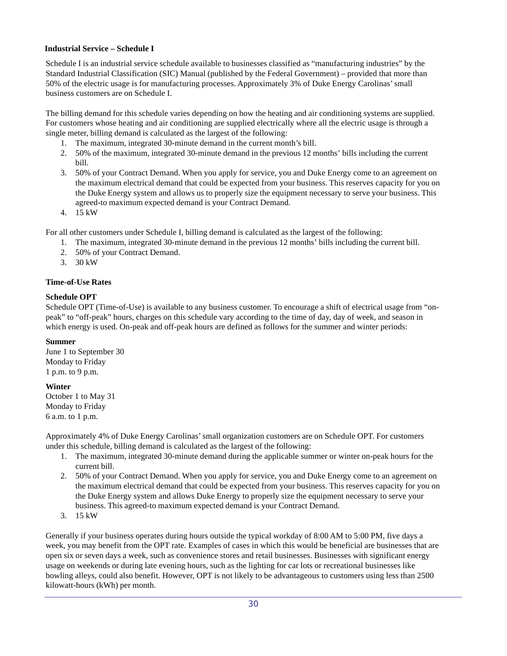# **Industrial Service – Schedule I**

Schedule I is an industrial service schedule available to businesses classified as "manufacturing industries" by the Standard Industrial Classification (SIC) Manual (published by the Federal Government) – provided that more than 50% of the electric usage is for manufacturing processes. Approximately 3% of Duke Energy Carolinas' small business customers are on Schedule I.

The billing demand for this schedule varies depending on how the heating and air conditioning systems are supplied. For customers whose heating and air conditioning are supplied electrically where all the electric usage is through a single meter, billing demand is calculated as the largest of the following:

- 1. The maximum, integrated 30-minute demand in the current month's bill.
- 2. 50% of the maximum, integrated 30-minute demand in the previous 12 months' bills including the current bill.
- 3. 50% of your Contract Demand. When you apply for service, you and Duke Energy come to an agreement on the maximum electrical demand that could be expected from your business. This reserves capacity for you on the Duke Energy system and allows us to properly size the equipment necessary to serve your business. This agreed-to maximum expected demand is your Contract Demand.
- 4. 15 kW

For all other customers under Schedule I, billing demand is calculated as the largest of the following:

- 1. The maximum, integrated 30-minute demand in the previous 12 months' bills including the current bill.
- 2. 50% of your Contract Demand.
- 3. 30 kW

# **Time-of-Use Rates**

# **Schedule OPT**

Schedule OPT (Time-of-Use) is available to any business customer. To encourage a shift of electrical usage from "onpeak" to "off-peak" hours, charges on this schedule vary according to the time of day, day of week, and season in which energy is used. On-peak and off-peak hours are defined as follows for the summer and winter periods:

# **Summer**

June 1 to September 30 Monday to Friday 1 p.m. to 9 p.m.

# **Winter**

October 1 to May 31 Monday to Friday 6 a.m. to 1 p.m.

Approximately 4% of Duke Energy Carolinas' small organization customers are on Schedule OPT. For customers under this schedule, billing demand is calculated as the largest of the following:

- 1. The maximum, integrated 30-minute demand during the applicable summer or winter on-peak hours for the current bill.
- 2. 50% of your Contract Demand. When you apply for service, you and Duke Energy come to an agreement on the maximum electrical demand that could be expected from your business. This reserves capacity for you on the Duke Energy system and allows Duke Energy to properly size the equipment necessary to serve your business. This agreed-to maximum expected demand is your Contract Demand.
- 3. 15 kW

Generally if your business operates during hours outside the typical workday of 8:00 AM to 5:00 PM, five days a week, you may benefit from the OPT rate. Examples of cases in which this would be beneficial are businesses that are open six or seven days a week, such as convenience stores and retail businesses. Businesses with significant energy usage on weekends or during late evening hours, such as the lighting for car lots or recreational businesses like bowling alleys, could also benefit. However, OPT is not likely to be advantageous to customers using less than 2500 kilowatt-hours (kWh) per month.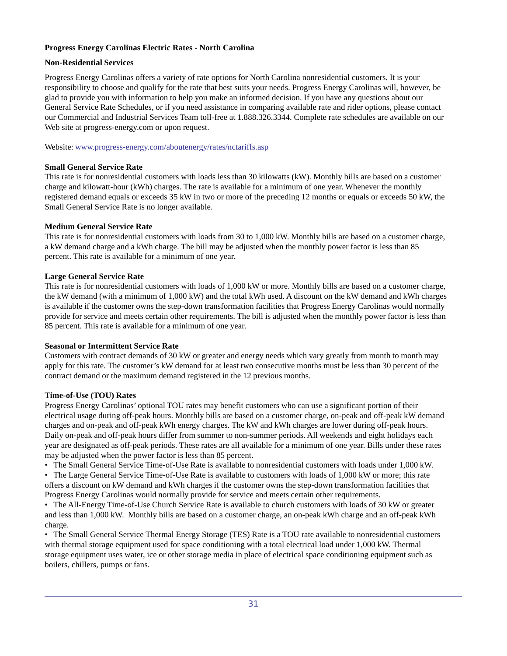# **Progress Energy Carolinas Electric Rates - North Carolina**

# **Non-Residential Services**

Progress Energy Carolinas offers a variety of rate options for North Carolina nonresidential customers. It is your responsibility to choose and qualify for the rate that best suits your needs. Progress Energy Carolinas will, however, be glad to provide you with information to help you make an informed decision. If you have any questions about our General Service Rate Schedules, or if you need assistance in comparing available rate and rider options, please contact our Commercial and Industrial Services Team toll-free at 1.888.326.3344. Complete rate schedules are available on our Web site at progress-energy.com or upon request.

Website: www.progress-energy.com/aboutenergy/rates/nctariffs.asp

# **Small General Service Rate**

This rate is for nonresidential customers with loads less than 30 kilowatts (kW). Monthly bills are based on a customer charge and kilowatt-hour (kWh) charges. The rate is available for a minimum of one year. Whenever the monthly registered demand equals or exceeds 35 kW in two or more of the preceding 12 months or equals or exceeds 50 kW, the Small General Service Rate is no longer available.

# **Medium General Service Rate**

This rate is for nonresidential customers with loads from 30 to 1,000 kW. Monthly bills are based on a customer charge, a kW demand charge and a kWh charge. The bill may be adjusted when the monthly power factor is less than 85 percent. This rate is available for a minimum of one year.

# **Large General Service Rate**

This rate is for nonresidential customers with loads of 1,000 kW or more. Monthly bills are based on a customer charge, the kW demand (with a minimum of 1,000 kW) and the total kWh used. A discount on the kW demand and kWh charges is available if the customer owns the step-down transformation facilities that Progress Energy Carolinas would normally provide for service and meets certain other requirements. The bill is adjusted when the monthly power factor is less than 85 percent. This rate is available for a minimum of one year.

# **Seasonal or Intermittent Service Rate**

Customers with contract demands of 30 kW or greater and energy needs which vary greatly from month to month may apply for this rate. The customer's kW demand for at least two consecutive months must be less than 30 percent of the contract demand or the maximum demand registered in the 12 previous months.

# **Time-of-Use (TOU) Rates**

Progress Energy Carolinas' optional TOU rates may benefit customers who can use a significant portion of their electrical usage during off-peak hours. Monthly bills are based on a customer charge, on-peak and off-peak kW demand charges and on-peak and off-peak kWh energy charges. The kW and kWh charges are lower during off-peak hours. Daily on-peak and off-peak hours differ from summer to non-summer periods. All weekends and eight holidays each year are designated as off-peak periods. These rates are all available for a minimum of one year. Bills under these rates may be adjusted when the power factor is less than 85 percent.

• The Small General Service Time-of-Use Rate is available to nonresidential customers with loads under 1,000 kW.

• The Large General Service Time-of-Use Rate is available to customers with loads of 1,000 kW or more; this rate offers a discount on kW demand and kWh charges if the customer owns the step-down transformation facilities that Progress Energy Carolinas would normally provide for service and meets certain other requirements.

• The All-Energy Time-of-Use Church Service Rate is available to church customers with loads of 30 kW or greater and less than 1,000 kW. Monthly bills are based on a customer charge, an on-peak kWh charge and an off-peak kWh charge.

• The Small General Service Thermal Energy Storage (TES) Rate is a TOU rate available to nonresidential customers with thermal storage equipment used for space conditioning with a total electrical load under 1,000 kW. Thermal storage equipment uses water, ice or other storage media in place of electrical space conditioning equipment such as boilers, chillers, pumps or fans.